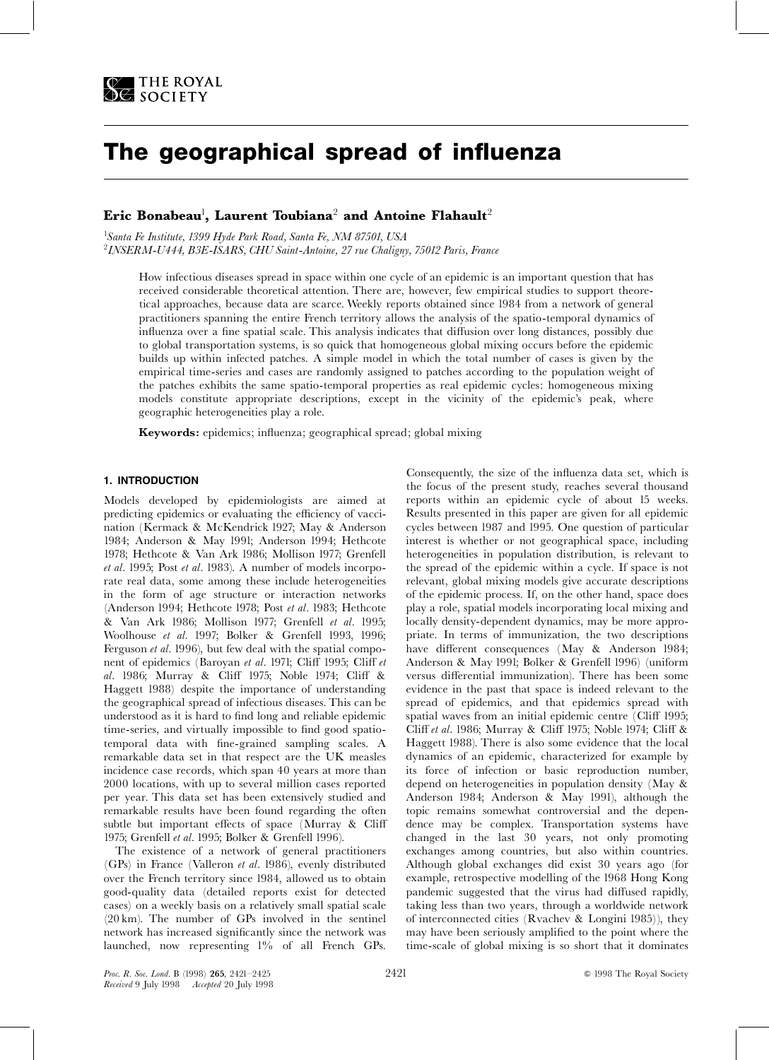

# The geographical spread of influenza

# Eric Bonabeau $^{\rm l}$ , Laurent Toubiana $^{\rm 2}$  and Antoine Flahault $^{\rm 2}$

<sup>1</sup>Santa Fe Institute, 1399 Hyde Park Road, Santa Fe, NM 87501, USA 2 INSERM-U444, B3E-ISARS, CHU Saint-Antoine, 27 rue Chaligny, 75012 Paris, France

How infectious diseases spread in space within one cycle of an epidemic is an important question that has received considerable theoretical attention. There are, however, few empirical studies to support theoretical approaches, because data are scarce. Weekly reports obtained since 1984 from a network of general practitioners spanning the entire French territory allows the analysis of the spatio-temporal dynamics of influenza over a fine spatial scale. This analysis indicates that diffusion over long distances, possibly due to global transportation systems, is so quick that homogeneous global mixing occurs before the epidemic builds up within infected patches. A simple model in which the total number of cases is given by the empirical time-series and cases are randomly assigned to patches according to the population weight of the patches exhibits the same spatio-temporal properties as real epidemic cycles: homogeneous mixing models constitute appropriate descriptions, except in the vicinity of the epidemic's peak, where geographic heterogeneities play a role.

Keywords: epidemics; influenza; geographical spread; global mixing

## 1. INTRODUCTION

Models developed by epidemiologists are aimed at predicting epidemics or evaluating the efficiency of vaccination (Kermack & McKendrick 1927; May & Anderson 1984; Anderson & May 1991; Anderson 1994; Hethcote 1978; Hethcote & Van Ark 1986; Mollison 1977; Grenfell et al. 1995; Post et al. 1983). A number of models incorporate real data, some among these include heterogeneities in the form of age structure or interaction networks (Anderson 1994; Hethcote 1978; Post et al. 1983; Hethcote & Van Ark 1986; Mollison 1977; Grenfell et al. 1995; Woolhouse et al. 1997; Bolker & Grenfell 1993, 1996; Ferguson et al. 1996), but few deal with the spatial component of epidemics (Baroyan et al. 1971; Cliff 1995; Cliff et al. 1986; Murray & Cliff 1975; Noble 1974; Cliff & Haggett 1988) despite the importance of understanding the geographical spread of infectious diseases. This can be understood as it is hard to find long and reliable epidemic time-series, and virtually impossible to find good spatiotemporal data with fine-grained sampling scales. A remarkable data set in that respect are the UK measles incidence case records, which span 40 years at more than 2000 locations, with up to several million cases reported per year. This data set has been extensively studied and remarkable results have been found regarding the often subtle but important effects of space (Murray  $& \text{Cliff}$ 1975; Grenfell et al. 1995; Bolker & Grenfell 1996).

The existence of a network of general practitioners (GPs) in France (Valleron et al. 1986), evenly distributed over the French territory since 1984, allowed us to obtain good-quality data (detailed reports exist for detected cases) on a weekly basis on a relatively small spatial scale (20 km). The number of GPs involved in the sentinel network has increased significantly since the network was launched, now representing 1% of all French GPs.

Consequently, the size of the influenza data set, which is the focus of the present study, reaches several thousand reports within an epidemic cycle of about 15 weeks. Results presented in this paper are given for all epidemic cycles between 1987 and 1995. One question of particular interest is whether or not geographical space, including heterogeneities in population distribution, is relevant to the spread of the epidemic within a cycle. If space is not relevant, global mixing models give accurate descriptions of the epidemic process. If, on the other hand, space does play a role, spatial models incorporating local mixing and locally density-dependent dynamics, may be more appropriate. In terms of immunization, the two descriptions have different consequences (May & Anderson 1984; Anderson & May 1991; Bolker & Grenfell 1996) (uniform versus differential immunization). There has been some evidence in the past that space is indeed relevant to the spread of epidemics, and that epidemics spread with spatial waves from an initial epidemic centre (Cliff 1995; Cliff et al. 1986; Murray & Cliff 1975; Noble 1974; Cliff & Haggett 1988). There is also some evidence that the local dynamics of an epidemic, characterized for example by its force of infection or basic reproduction number, depend on heterogeneities in population density (May & Anderson 1984; Anderson & May 1991), although the topic remains somewhat controversial and the dependence may be complex. Transportation systems have changed in the last 30 years, not only promoting exchanges among countries, but also within countries. Although global exchanges did exist 30 years ago (for example, retrospective modelling of the 1968 Hong Kong pandemic suggested that the virus had diffused rapidly, taking less than two years, through a worldwide network of interconnected cities (Rvachev & Longini 1985)), they may have been seriously amplified to the point where the time-scale of global mixing is so short that it dominates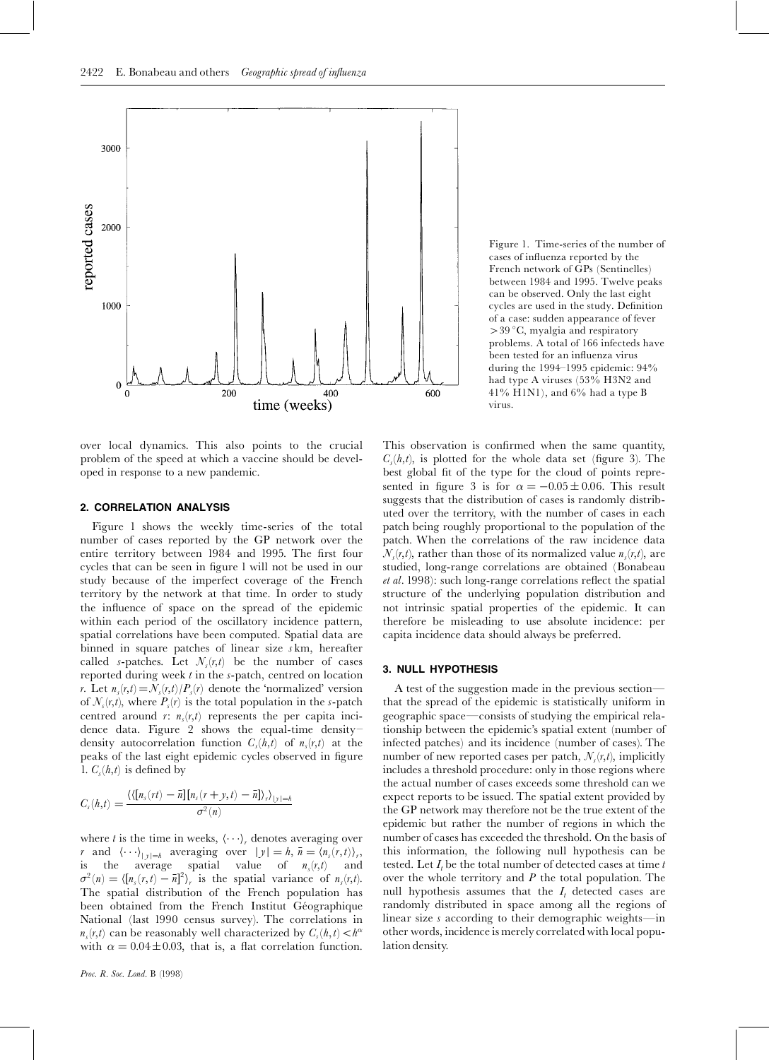

over local dynamics. This also points to the crucial problem of the speed at which a vaccine should be developed in response to a new pandemic.

#### 2. CORRELATION ANALYSIS

Figure 1 shows the weekly time-series of the total number of cases reported by the GP network over the entire territory between 1984 and 1995. The first four cycles that can be seen in figure 1 will not be used in our study because of the imperfect coverage of the French territory by the network at that time. In order to study the influence of space on the spread of the epidemic within each period of the oscillatory incidence pattern, spatial correlations have been computed. Spatial data are binned in square patches of linear size s km, hereafter called s-patches. Let  $\mathcal{N}_s(r,t)$  be the number of cases reported during week  $t$  in the  $s$ -patch, centred on location r. Let  $n_s(r,t)=N_s(r,t)/P_s(r)$  denote the 'normalized' version of  $\mathcal{N}_s(r,t)$ , where  $P_s(r)$  is the total population in the s-patch centred around r:  $n<sub>s</sub>(r,t)$  represents the per capita incidence data. Figure 2 shows the equal-time density^ density autocorrelation function  $C_s(h,t)$  of  $n_s(r,t)$  at the peaks of the last eight epidemic cycles observed in figure 1.  $C_s(h,t)$  is defined by

$$
C_s(h,t) = \frac{\langle \langle [n_s(\tau t) - \bar{n}] [n_s(\tau + y, t) - \bar{n}] \rangle_r \rangle_{|y|=h}}{\sigma^2(n)}
$$

where t is the time in weeks,  $\langle \cdots \rangle_r$  denotes averaging over r and  $\langle \cdots \rangle_{|y|=h}$  averaging over  $|y| = h$ ,  $\bar{n} = \langle n_s(\bar{r},t) \rangle_r$ , is the average spatial value of  $n_s(r,t)$  and is the average spatial value of  $n_s(r,t)$  $\sigma^2(n) = \langle [n_s(r,t) - \bar{n}]^2 \rangle_r$  is the spatial variance of  $n_s(r,t)$ . The spatial distribution of the French population has been obtained from the French Institut Géographique National (last 1990 census survey). The correlations in  $n_s(r,t)$  can be reasonably well characterized by  $C_s(h,t) < h^{\alpha}$ with  $\alpha = 0.04 \pm 0.03$ , that is, a flat correlation function.

Figure 1. Time-series of the number of cases of influenza reported by the French network of GPs (Sentinelles) between 1984 and 1995. Twelve peaks can be observed. Only the last eight cycles are used in the study. Definition of a case: sudden appearance of fever  $>$  39  $\degree$ C, myalgia and respiratory problems. A total of 166 infecteds have been tested for an influenza virus during the 1994-1995 epidemic: 94% had type A viruses (53% H3N2 and 41% H1N1), and 6% had a type B virus.

This observation is confirmed when the same quantity,  $C<sub>s</sub>(h,t)$ , is plotted for the whole data set (figure 3). The best global fit of the type for the cloud of points represented in figure 3 is for  $\alpha = -0.05 \pm 0.06$ . This result suggests that the distribution of cases is randomly distributed over the territory, with the number of cases in each patch being roughly proportional to the population of the patch. When the correlations of the raw incidence data  $\mathcal{N}_s(r,t)$ , rather than those of its normalized value  $n_s(r,t)$ , are studied, long-range correlations are obtained (Bonabeau  $et$  al. 1998): such long-range correlations reflect the spatial structure of the underlying population distribution and not intrinsic spatial properties of the epidemic. It can therefore be misleading to use absolute incidence: per capita incidence data should always be preferred.

#### 3. NULL HYPOTHESIS

A test of the suggestion made in the previous section that the spread of the epidemic is statistically uniform in geographic space—consists of studying the empirical relationship between the epidemic's spatial extent (number of infected patches) and its incidence (number of cases). The number of new reported cases per patch,  $\mathcal{N}_s(r,t)$ , implicitly includes a threshold procedure: only in those regions where the actual number of cases exceeds some threshold can we expect reports to be issued. The spatial extent provided by the GP network may therefore not be the true extent of the epidemic but rather the number of regions in which the number of cases has exceeded the threshold. On the basis of this information, the following null hypothesis can be tested. Let  $I_t$  be the total number of detected cases at time t over the whole territory and  $P$  the total population. The null hypothesis assumes that the  $I_t$  detected cases are randomly distributed in space among all the regions of linear size  $s$  according to their demographic weights—in other words, incidence is merely correlated with local population density.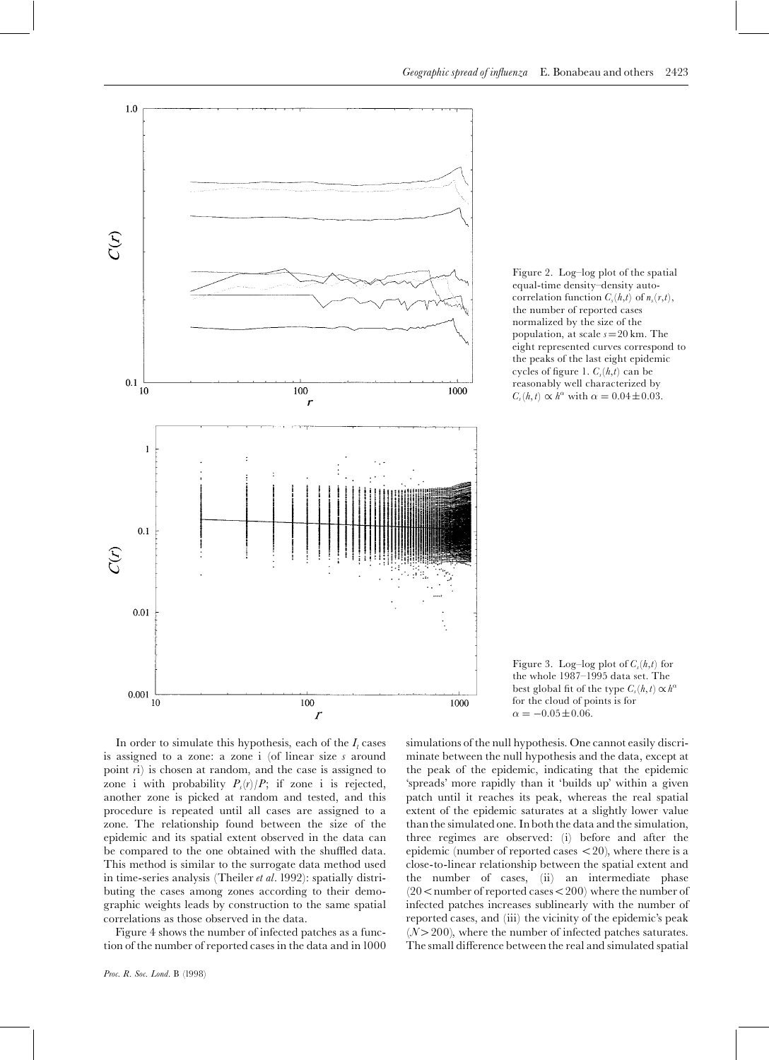

Figure 2. Log-log plot of the spatial equal-time density-density autocorrelation function  $C_s(h,t)$  of  $n_s(r,t)$ , the number of reported cases normalized by the size of the population, at scale  $s=20$  km. The eight represented curves correspond to the peaks of the last eight epidemic cycles of figure 1.  $C_s(h,t)$  can be reasonably well characterized by  $C_s(h,t) \propto h^{\alpha}$  with  $\alpha = 0.04 \pm 0.03$ .

In order to simulate this hypothesis, each of the  $I_t$  cases is assigned to a zone: a zone i (of linear size s around point ri) is chosen at random, and the case is assigned to zone i with probability  $P_s(r)/P$ ; if zone i is rejected, another zone is picked at random and tested, and this procedure is repeated until all cases are assigned to a zone. The relationship found between the size of the epidemic and its spatial extent observed in the data can be compared to the one obtained with the shuffled data. This method is similar to the surrogate data method used in time-series analysis (Theiler et al. 1992): spatially distributing the cases among zones according to their demographic weights leads by construction to the same spatial correlations as those observed in the data.

Figure 4 shows the number of infected patches as a function of the number of reported cases in the data and in1000

Figure 3. Log-log plot of  $C_s(h,t)$  for the whole 1987-1995 data set. The best global fit of the type  $C_s(h,t) \propto h^{\alpha}$ for the cloud of points is for  $\alpha = -0.05 \pm 0.06$ .

simulations of the null hypothesis. One cannot easily discriminate between the null hypothesis and the data, except at the peak of the epidemic, indicating that the epidemic `spreads' more rapidly than it `builds up' within a given patch until it reaches its peak, whereas the real spatial extent of the epidemic saturates at a slightly lower value than the simulated one. In both the data and the simulation, three regimes are observed: (i) before and after the epidemic (number of reported cases  $<$  20), where there is a close-to-linear relationship between the spatial extent and the number of cases, (ii) an intermediate phase  $(20<$ number of reported cases $<$ 200) where the number of infected patches increases sublinearly with the number of reported cases, and (iii) the vicinity of the epidemic's peak  $(N>200)$ , where the number of infected patches saturates. The small difference between the real and simulated spatial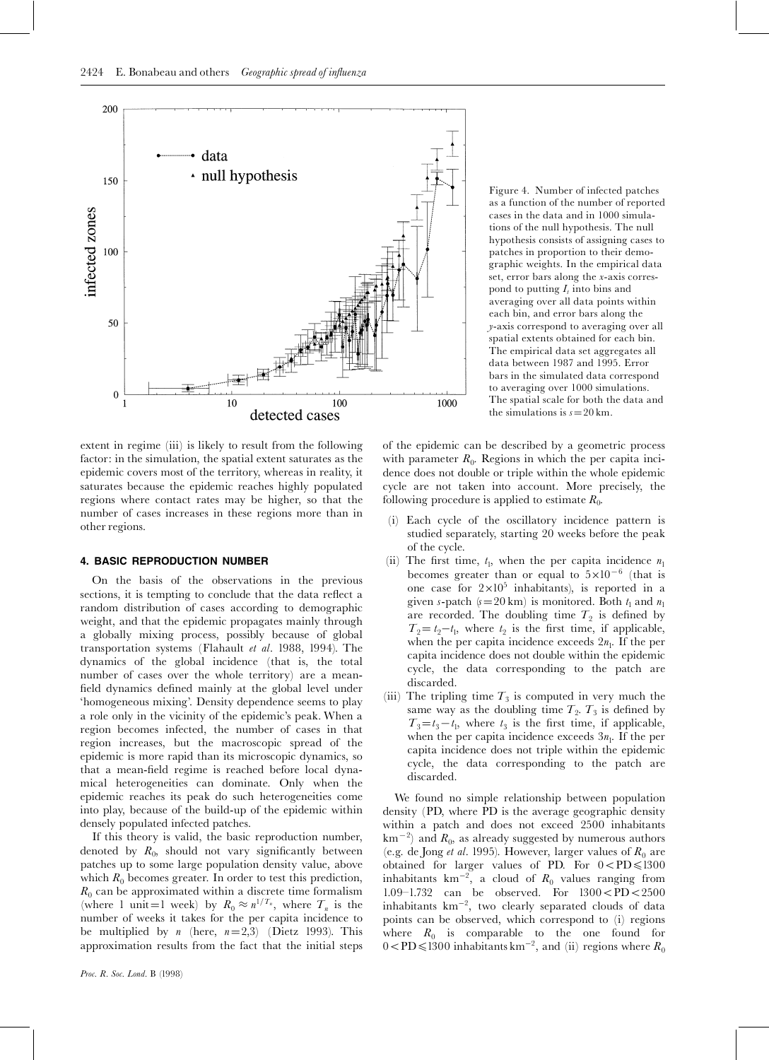

Figure 4. Number of infected patches as a function of the number of reported cases in the data and in 1000 simulations of the null hypothesis. The null hypothesis consists of assigning cases to patches in proportion to their demographic weights. In the empirical data set, error bars along the x-axis correspond to putting  $I_t$  into bins and averaging over all data points within each bin, and error bars along the y-axis correspond to averaging over all spatial extents obtained for each bin. The empirical data set aggregates all data between 1987 and 1995. Error bars in the simulated data correspond to averaging over 1000 simulations. The spatial scale for both the data and the simulations is  $s=20$  km.

extent in regime (iii) is likely to result from the following factor: in the simulation, the spatial extent saturates as the epidemic covers most of the territory, whereas in reality, it saturates because the epidemic reaches highly populated regions where contact rates may be higher, so that the number of cases increases in these regions more than in other regions.

## 4. BASIC REPRODUCTION NUMBER

On the basis of the observations in the previous sections, it is tempting to conclude that the data reflect a random distribution of cases according to demographic weight, and that the epidemic propagates mainly through a globally mixing process, possibly because of global transportation systems (Flahault et al. 1988, 1994). The dynamics of the global incidence (that is, the total number of cases over the whole territory) are a mean field dynamics defined mainly at the global level under `homogeneous mixing'. Density dependence seems to play a role only in the vicinity of the epidemic's peak. When a region becomes infected, the number of cases in that region increases, but the macroscopic spread of the epidemic is more rapid than its microscopic dynamics, so that a mean-field regime is reached before local dynamical heterogeneities can dominate. Only when the epidemic reaches its peak do such heterogeneities come into play, because of the build-up of the epidemic within densely populated infected patches.

If this theory is valid, the basic reproduction number, denoted by  $R_0$ , should not vary significantly between patches up to some large population density value, above which  $R_0$  becomes greater. In order to test this prediction,  $R_0$  can be approximated within a discrete time formalism (where 1 unit=1 week) by  $R_0 \approx n^{1/T_n}$ , where  $T_n$  is the number of weeks it takes for the per capita incidence to be multiplied by *n* (here,  $n=2,3$ ) (Dietz 1993). This approximation results from the fact that the initial steps of the epidemic can be described by a geometric process with parameter  $R_0$ . Regions in which the per capita incidence does not double or triple within the whole epidemic cycle are not taken into account. More precisely, the following procedure is applied to estimate  $R_0$ .

- (i) Each cycle of the oscillatory incidence pattern is studied separately, starting 20 weeks before the peak of the cycle.
- (ii) The first time,  $t_1$ , when the per capita incidence  $n_1$ becomes greater than or equal to  $5 \times 10^{-6}$  (that is one case for  $2 \times 10^5$  inhabitants), is reported in a given s-patch  $(s=20 \text{ km})$  is monitored. Both  $t_1$  and  $n_1$ are recorded. The doubling time  $T_2$  is defined by  $T_2 = t_2 - t_1$ , where  $t_2$  is the first time, if applicable, when the per capita incidence exceeds  $2n_1$ . If the per capita incidence does not double within the epidemic cycle, the data corresponding to the patch are discarded.
- (iii) The tripling time  $T_3$  is computed in very much the same way as the doubling time  $T_2$ .  $T_3$  is defined by  $T_3=t_3-t_1$ , where  $t_3$  is the first time, if applicable, when the per capita incidence exceeds  $3n_1$ . If the per capita incidence does not triple within the epidemic cycle, the data corresponding to the patch are discarded.

We found no simple relationship between population density (PD, where PD is the average geographic density within a patch and does not exceed 2500 inhabitants km $^{-2}$ ) and  $R_0$ , as already suggested by numerous authors (e.g. de Jong *et al.* 1995). However, larger values of  $R_0$  are obtained for larger values of PD. For  $0 < PD \le 1300$ inhabitants  $km^{-2}$ , a cloud of  $R_0$  values ranging from 1.09–1.732 can be observed. For  $1300 < PD < 2500$ inhabitants  $km^{-2}$ , two clearly separated clouds of data points can be observed, which correspond to (i) regions where  $R_0$  is comparable to the one found for  $0<$ PD $\leq$ 1300 inhabitants km<sup>-2</sup>, and (ii) regions where  $R_0$